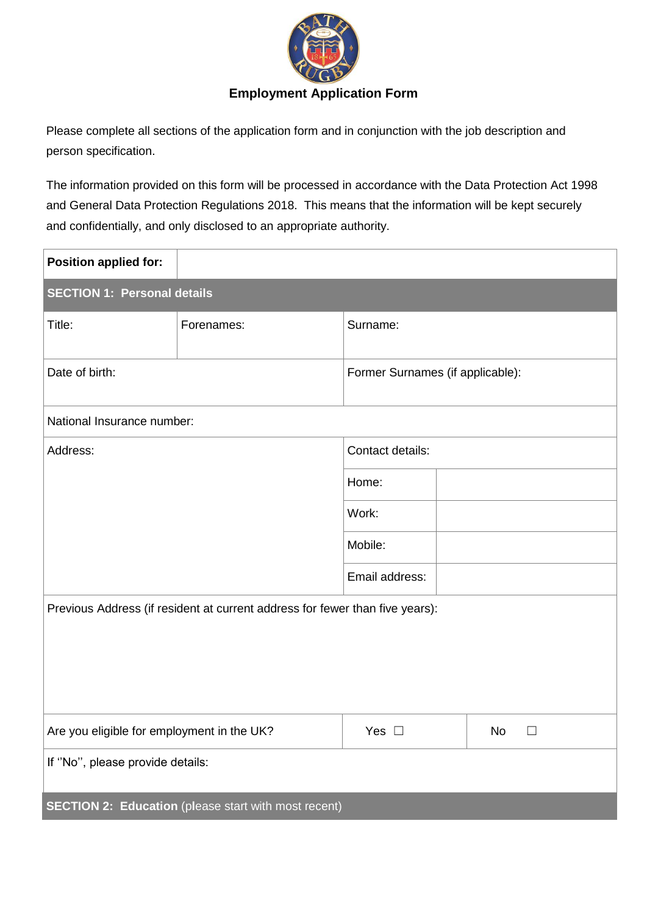

### **Employment Application Form**

Please complete all sections of the application form and in conjunction with the job description and person specification.

The information provided on this form will be processed in accordance with the Data Protection Act 1998 and General Data Protection Regulations 2018. This means that the information will be kept securely and confidentially, and only disclosed to an appropriate authority.

| <b>Position applied for:</b>                                                 |                                                             |                                  |  |              |  |
|------------------------------------------------------------------------------|-------------------------------------------------------------|----------------------------------|--|--------------|--|
| <b>SECTION 1: Personal details</b>                                           |                                                             |                                  |  |              |  |
| Title:                                                                       | Forenames:                                                  | Surname:                         |  |              |  |
| Date of birth:                                                               |                                                             | Former Surnames (if applicable): |  |              |  |
| National Insurance number:                                                   |                                                             |                                  |  |              |  |
| Address:                                                                     |                                                             | Contact details:                 |  |              |  |
|                                                                              |                                                             | Home:                            |  |              |  |
|                                                                              |                                                             | Work:                            |  |              |  |
|                                                                              |                                                             | Mobile:                          |  |              |  |
|                                                                              |                                                             | Email address:                   |  |              |  |
| Previous Address (if resident at current address for fewer than five years): |                                                             |                                  |  |              |  |
|                                                                              |                                                             |                                  |  |              |  |
| Are you eligible for employment in the UK?                                   |                                                             | Yes $\square$                    |  | No<br>$\Box$ |  |
| If "No", please provide details:                                             |                                                             |                                  |  |              |  |
|                                                                              | <b>SECTION 2: Education (please start with most recent)</b> |                                  |  |              |  |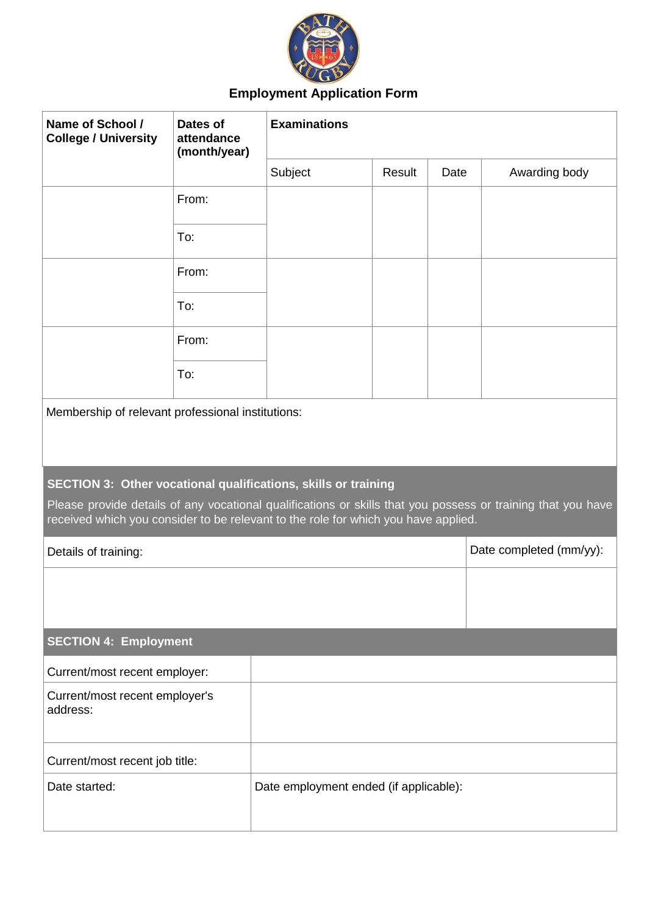

# **Employment Application Form**

| Name of School /<br><b>College / University</b>                                                                                                                                                                                                                      | Dates of<br>attendance<br>(month/year) | <b>Examinations</b> |        |      |                         |
|----------------------------------------------------------------------------------------------------------------------------------------------------------------------------------------------------------------------------------------------------------------------|----------------------------------------|---------------------|--------|------|-------------------------|
|                                                                                                                                                                                                                                                                      |                                        | Subject             | Result | Date | Awarding body           |
|                                                                                                                                                                                                                                                                      | From:                                  |                     |        |      |                         |
|                                                                                                                                                                                                                                                                      | To:                                    |                     |        |      |                         |
|                                                                                                                                                                                                                                                                      | From:                                  |                     |        |      |                         |
|                                                                                                                                                                                                                                                                      | To:                                    |                     |        |      |                         |
|                                                                                                                                                                                                                                                                      | From:                                  |                     |        |      |                         |
|                                                                                                                                                                                                                                                                      | To:                                    |                     |        |      |                         |
| Membership of relevant professional institutions:                                                                                                                                                                                                                    |                                        |                     |        |      |                         |
| SECTION 3: Other vocational qualifications, skills or training<br>Please provide details of any vocational qualifications or skills that you possess or training that you have<br>received which you consider to be relevant to the role for which you have applied. |                                        |                     |        |      |                         |
| Details of training:                                                                                                                                                                                                                                                 |                                        |                     |        |      | Date completed (mm/yy): |
|                                                                                                                                                                                                                                                                      |                                        |                     |        |      |                         |
| <b>SECTION 4: Employment</b>                                                                                                                                                                                                                                         |                                        |                     |        |      |                         |
| Current/most recent employer:                                                                                                                                                                                                                                        |                                        |                     |        |      |                         |
| Current/most recent employer's<br>address:                                                                                                                                                                                                                           |                                        |                     |        |      |                         |
| Current/most recent job title:                                                                                                                                                                                                                                       |                                        |                     |        |      |                         |
| Date started:                                                                                                                                                                                                                                                        | Date employment ended (if applicable): |                     |        |      |                         |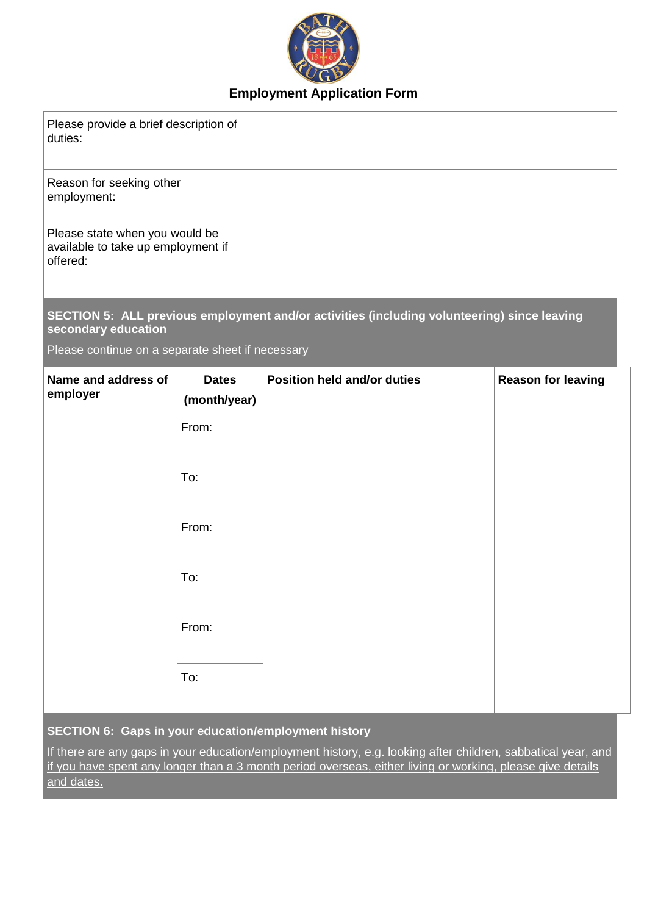

## **Employment Application Form**

| Please provide a brief description of<br>duties:                                 |              |                                                                                             |                           |
|----------------------------------------------------------------------------------|--------------|---------------------------------------------------------------------------------------------|---------------------------|
| Reason for seeking other<br>employment:                                          |              |                                                                                             |                           |
| Please state when you would be<br>available to take up employment if<br>offered: |              |                                                                                             |                           |
| secondary education                                                              |              | SECTION 5: ALL previous employment and/or activities (including volunteering) since leaving |                           |
| Please continue on a separate sheet if necessary                                 |              |                                                                                             |                           |
| Name and address of<br>employer                                                  | <b>Dates</b> | <b>Position held and/or duties</b>                                                          | <b>Reason for leaving</b> |
|                                                                                  | (month/year) |                                                                                             |                           |
|                                                                                  | From:        |                                                                                             |                           |
|                                                                                  | To:          |                                                                                             |                           |
|                                                                                  | From:        |                                                                                             |                           |
|                                                                                  | To:          |                                                                                             |                           |
|                                                                                  | From:        |                                                                                             |                           |
|                                                                                  | To:          |                                                                                             |                           |

**SECTION 6: Gaps in your education/employment history**

If there are any gaps in your education/employment history, e.g. looking after children, sabbatical year, and if you have spent any longer than a 3 month period overseas, either living or working, please give details and dates.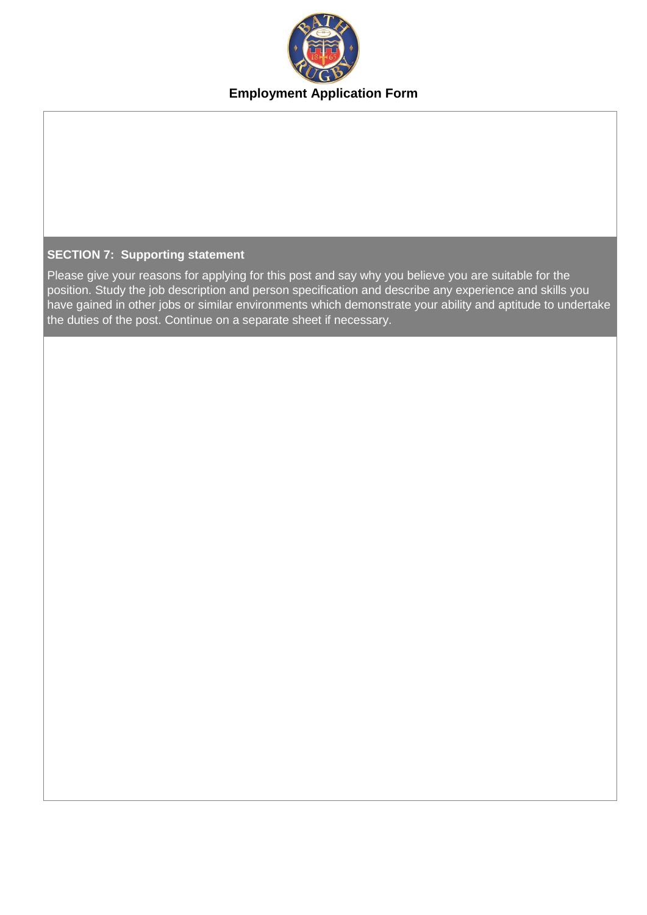

#### **SECTION 7: Supporting statement**

Please give your reasons for applying for this post and say why you believe you are suitable for the position. Study the job description and person specification and describe any experience and skills you have gained in other jobs or similar environments which demonstrate your ability and aptitude to undertake the duties of the post. Continue on a separate sheet if necessary.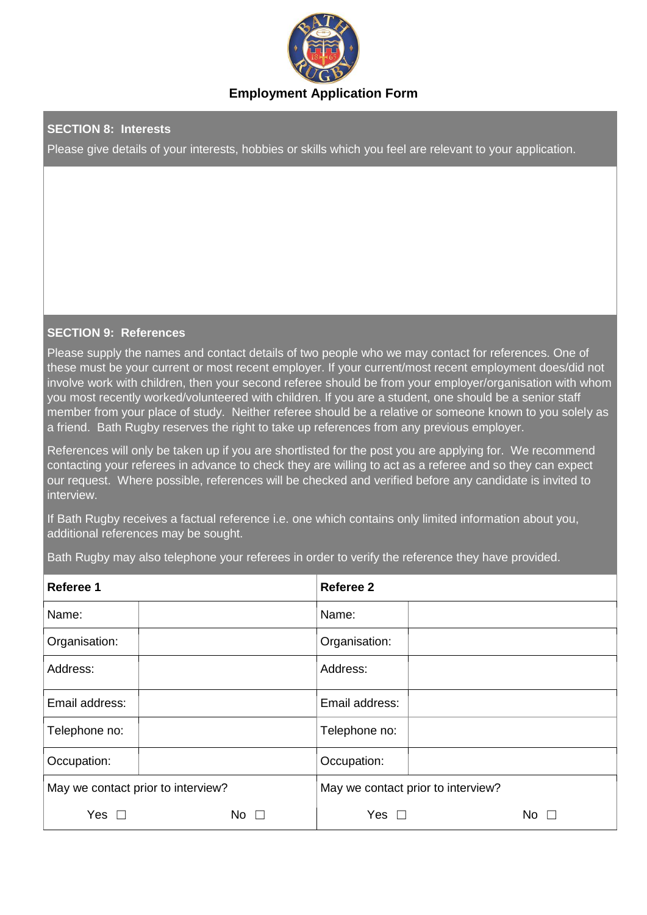

#### **SECTION 8: Interests**

Please give details of your interests, hobbies or skills which you feel are relevant to your application.

#### **SECTION 9: References**

Please supply the names and contact details of two people who we may contact for references. One of these must be your current or most recent employer. If your current/most recent employment does/did not involve work with children, then your second referee should be from your employer/organisation with whom you most recently worked/volunteered with children. If you are a student, one should be a senior staff member from your place of study. Neither referee should be a relative or someone known to you solely as a friend. Bath Rugby reserves the right to take up references from any previous employer.

References will only be taken up if you are shortlisted for the post you are applying for. We recommend contacting your referees in advance to check they are willing to act as a referee and so they can expect our request. Where possible, references will be checked and verified before any candidate is invited to interview.

If Bath Rugby receives a factual reference i.e. one which contains only limited information about you, additional references may be sought.

Bath Rugby may also telephone your referees in order to verify the reference they have provided.

| Referee 1                          |      | Referee 2                          |      |  |
|------------------------------------|------|------------------------------------|------|--|
| Name:                              |      | Name:                              |      |  |
| Organisation:                      |      | Organisation:                      |      |  |
| Address:                           |      | Address:                           |      |  |
| Email address:                     |      | Email address:                     |      |  |
| Telephone no:                      |      | Telephone no:                      |      |  |
| Occupation:                        |      | Occupation:                        |      |  |
| May we contact prior to interview? |      | May we contact prior to interview? |      |  |
| Yes $\square$                      | No l | Yes $\square$                      | No l |  |